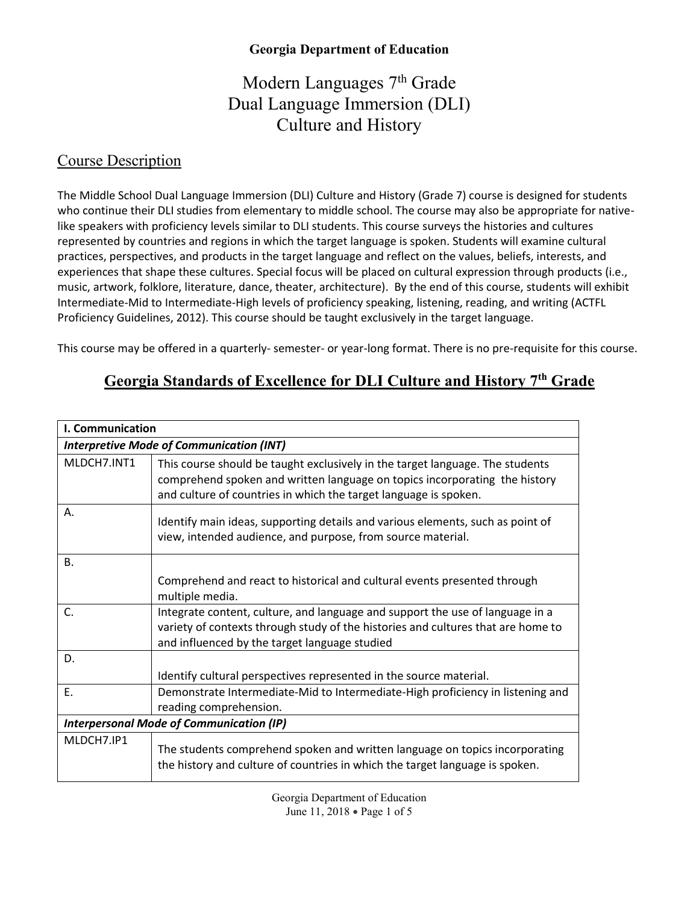# Modern Languages 7<sup>th</sup> Grade Dual Language Immersion (DLI) Culture and History

#### Course Description

The Middle School Dual Language Immersion (DLI) Culture and History (Grade 7) course is designed for students who continue their DLI studies from elementary to middle school. The course may also be appropriate for nativelike speakers with proficiency levels similar to DLI students. This course surveys the histories and cultures represented by countries and regions in which the target language is spoken. Students will examine cultural practices, perspectives, and products in the target language and reflect on the values, beliefs, interests, and experiences that shape these cultures. Special focus will be placed on cultural expression through products (i.e., music, artwork, folklore, literature, dance, theater, architecture). By the end of this course, students will exhibit Intermediate-Mid to Intermediate-High levels of proficiency speaking, listening, reading, and writing (ACTFL Proficiency Guidelines, 2012). This course should be taught exclusively in the target language.

This course may be offered in a quarterly- semester- or year-long format. There is no pre-requisite for this course.

## **Georgia Standards of Excellence for DLI Culture and History 7th Grade**

| I. Communication                                |                                                                                                                                                                                                                                 |  |
|-------------------------------------------------|---------------------------------------------------------------------------------------------------------------------------------------------------------------------------------------------------------------------------------|--|
| <b>Interpretive Mode of Communication (INT)</b> |                                                                                                                                                                                                                                 |  |
| MLDCH7.INT1                                     | This course should be taught exclusively in the target language. The students<br>comprehend spoken and written language on topics incorporating the history<br>and culture of countries in which the target language is spoken. |  |
| Α.                                              | Identify main ideas, supporting details and various elements, such as point of<br>view, intended audience, and purpose, from source material.                                                                                   |  |
| <b>B.</b>                                       |                                                                                                                                                                                                                                 |  |
|                                                 | Comprehend and react to historical and cultural events presented through<br>multiple media.                                                                                                                                     |  |
| C.                                              | Integrate content, culture, and language and support the use of language in a                                                                                                                                                   |  |
|                                                 | variety of contexts through study of the histories and cultures that are home to                                                                                                                                                |  |
|                                                 | and influenced by the target language studied                                                                                                                                                                                   |  |
| D.                                              |                                                                                                                                                                                                                                 |  |
|                                                 | Identify cultural perspectives represented in the source material.                                                                                                                                                              |  |
| Ε.                                              | Demonstrate Intermediate-Mid to Intermediate-High proficiency in listening and                                                                                                                                                  |  |
|                                                 | reading comprehension.                                                                                                                                                                                                          |  |
| <b>Interpersonal Mode of Communication (IP)</b> |                                                                                                                                                                                                                                 |  |
| MLDCH7.IP1                                      | The students comprehend spoken and written language on topics incorporating<br>the history and culture of countries in which the target language is spoken.                                                                     |  |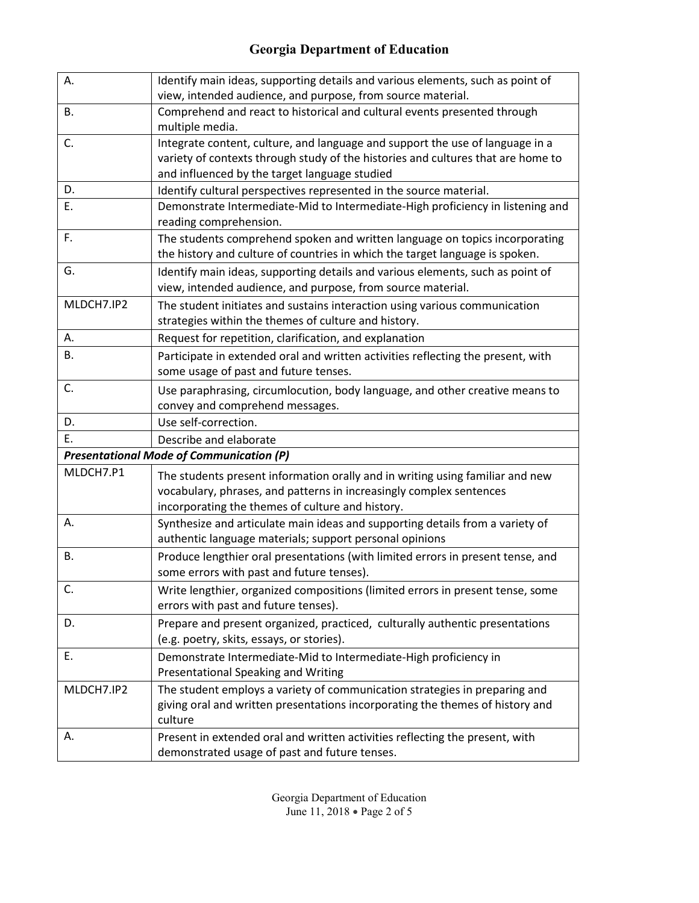| А.         | Identify main ideas, supporting details and various elements, such as point of                                                     |
|------------|------------------------------------------------------------------------------------------------------------------------------------|
|            | view, intended audience, and purpose, from source material.                                                                        |
| В.         | Comprehend and react to historical and cultural events presented through                                                           |
|            | multiple media.                                                                                                                    |
| C.         | Integrate content, culture, and language and support the use of language in a                                                      |
|            | variety of contexts through study of the histories and cultures that are home to                                                   |
|            | and influenced by the target language studied                                                                                      |
| D.         | Identify cultural perspectives represented in the source material.                                                                 |
| Ε.         | Demonstrate Intermediate-Mid to Intermediate-High proficiency in listening and<br>reading comprehension.                           |
| F.         | The students comprehend spoken and written language on topics incorporating                                                        |
|            | the history and culture of countries in which the target language is spoken.                                                       |
| G.         | Identify main ideas, supporting details and various elements, such as point of                                                     |
|            | view, intended audience, and purpose, from source material.                                                                        |
| MLDCH7.IP2 |                                                                                                                                    |
|            | The student initiates and sustains interaction using various communication<br>strategies within the themes of culture and history. |
| Α.         |                                                                                                                                    |
|            | Request for repetition, clarification, and explanation                                                                             |
| В.         | Participate in extended oral and written activities reflecting the present, with                                                   |
|            | some usage of past and future tenses.                                                                                              |
| C.         | Use paraphrasing, circumlocution, body language, and other creative means to                                                       |
|            | convey and comprehend messages.                                                                                                    |
| D.         | Use self-correction.                                                                                                               |
| E.         | Describe and elaborate                                                                                                             |
|            | <b>Presentational Mode of Communication (P)</b>                                                                                    |
| MLDCH7.P1  | The students present information orally and in writing using familiar and new                                                      |
|            | vocabulary, phrases, and patterns in increasingly complex sentences                                                                |
|            | incorporating the themes of culture and history.                                                                                   |
| А.         | Synthesize and articulate main ideas and supporting details from a variety of                                                      |
|            | authentic language materials; support personal opinions                                                                            |
| В.         | Produce lengthier oral presentations (with limited errors in present tense, and                                                    |
|            | some errors with past and future tenses).                                                                                          |
| C.         | Write lengthier, organized compositions (limited errors in present tense, some                                                     |
|            | errors with past and future tenses).                                                                                               |
| D.         | Prepare and present organized, practiced, culturally authentic presentations                                                       |
|            | (e.g. poetry, skits, essays, or stories).                                                                                          |
| E.         | Demonstrate Intermediate-Mid to Intermediate-High proficiency in                                                                   |
|            | <b>Presentational Speaking and Writing</b>                                                                                         |
| MLDCH7.IP2 | The student employs a variety of communication strategies in preparing and                                                         |
|            | giving oral and written presentations incorporating the themes of history and                                                      |
|            | culture                                                                                                                            |
| А.         | Present in extended oral and written activities reflecting the present, with                                                       |
|            | demonstrated usage of past and future tenses.                                                                                      |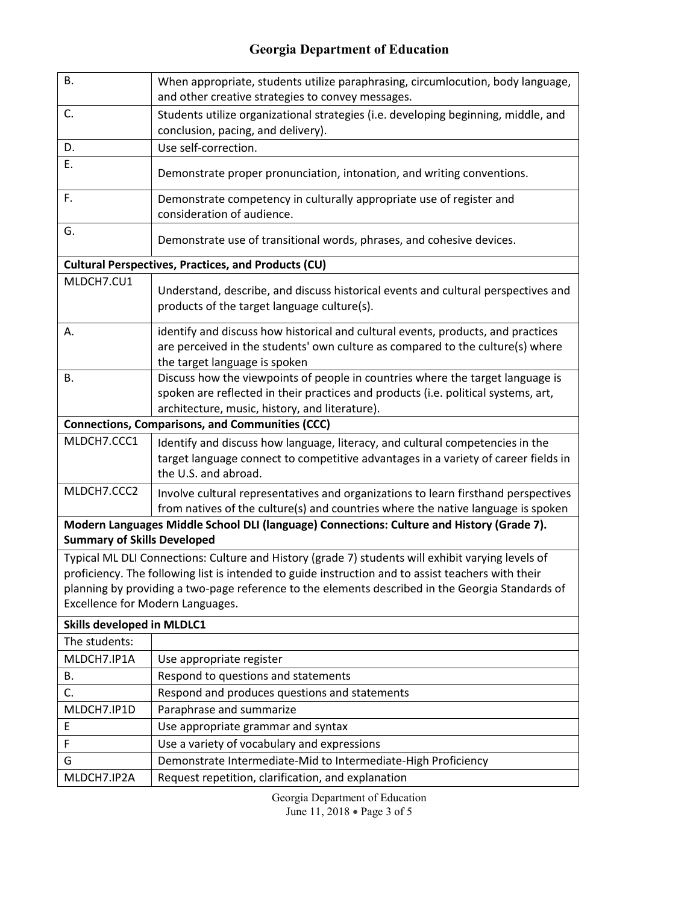| <b>B.</b>                                                                                                                                                                                                                                                                                                                                       | When appropriate, students utilize paraphrasing, circumlocution, body language,<br>and other creative strategies to convey messages.                                                                                   |  |
|-------------------------------------------------------------------------------------------------------------------------------------------------------------------------------------------------------------------------------------------------------------------------------------------------------------------------------------------------|------------------------------------------------------------------------------------------------------------------------------------------------------------------------------------------------------------------------|--|
| C.                                                                                                                                                                                                                                                                                                                                              | Students utilize organizational strategies (i.e. developing beginning, middle, and<br>conclusion, pacing, and delivery).                                                                                               |  |
| D.                                                                                                                                                                                                                                                                                                                                              | Use self-correction.                                                                                                                                                                                                   |  |
| E.                                                                                                                                                                                                                                                                                                                                              | Demonstrate proper pronunciation, intonation, and writing conventions.                                                                                                                                                 |  |
| F.                                                                                                                                                                                                                                                                                                                                              | Demonstrate competency in culturally appropriate use of register and<br>consideration of audience.                                                                                                                     |  |
| G.                                                                                                                                                                                                                                                                                                                                              | Demonstrate use of transitional words, phrases, and cohesive devices.                                                                                                                                                  |  |
|                                                                                                                                                                                                                                                                                                                                                 | <b>Cultural Perspectives, Practices, and Products (CU)</b>                                                                                                                                                             |  |
| MLDCH7.CU1                                                                                                                                                                                                                                                                                                                                      | Understand, describe, and discuss historical events and cultural perspectives and<br>products of the target language culture(s).                                                                                       |  |
| А.                                                                                                                                                                                                                                                                                                                                              | identify and discuss how historical and cultural events, products, and practices<br>are perceived in the students' own culture as compared to the culture(s) where<br>the target language is spoken                    |  |
| В.                                                                                                                                                                                                                                                                                                                                              | Discuss how the viewpoints of people in countries where the target language is<br>spoken are reflected in their practices and products (i.e. political systems, art,<br>architecture, music, history, and literature). |  |
|                                                                                                                                                                                                                                                                                                                                                 | <b>Connections, Comparisons, and Communities (CCC)</b>                                                                                                                                                                 |  |
| MLDCH7.CCC1                                                                                                                                                                                                                                                                                                                                     | Identify and discuss how language, literacy, and cultural competencies in the<br>target language connect to competitive advantages in a variety of career fields in<br>the U.S. and abroad.                            |  |
| MLDCH7.CCC2                                                                                                                                                                                                                                                                                                                                     | Involve cultural representatives and organizations to learn firsthand perspectives<br>from natives of the culture(s) and countries where the native language is spoken                                                 |  |
| Modern Languages Middle School DLI (language) Connections: Culture and History (Grade 7).<br><b>Summary of Skills Developed</b>                                                                                                                                                                                                                 |                                                                                                                                                                                                                        |  |
| Typical ML DLI Connections: Culture and History (grade 7) students will exhibit varying levels of<br>proficiency. The following list is intended to guide instruction and to assist teachers with their<br>planning by providing a two-page reference to the elements described in the Georgia Standards of<br>Excellence for Modern Languages. |                                                                                                                                                                                                                        |  |
| <b>Skills developed in MLDLC1</b>                                                                                                                                                                                                                                                                                                               |                                                                                                                                                                                                                        |  |
| The students:                                                                                                                                                                                                                                                                                                                                   |                                                                                                                                                                                                                        |  |
| MLDCH7.IP1A                                                                                                                                                                                                                                                                                                                                     | Use appropriate register                                                                                                                                                                                               |  |
| В.                                                                                                                                                                                                                                                                                                                                              | Respond to questions and statements                                                                                                                                                                                    |  |
| C.                                                                                                                                                                                                                                                                                                                                              | Respond and produces questions and statements                                                                                                                                                                          |  |
| MLDCH7.IP1D<br>E                                                                                                                                                                                                                                                                                                                                | Paraphrase and summarize                                                                                                                                                                                               |  |
| F                                                                                                                                                                                                                                                                                                                                               | Use appropriate grammar and syntax<br>Use a variety of vocabulary and expressions                                                                                                                                      |  |
| G                                                                                                                                                                                                                                                                                                                                               | Demonstrate Intermediate-Mid to Intermediate-High Proficiency                                                                                                                                                          |  |
| MLDCH7.IP2A                                                                                                                                                                                                                                                                                                                                     | Request repetition, clarification, and explanation                                                                                                                                                                     |  |
|                                                                                                                                                                                                                                                                                                                                                 |                                                                                                                                                                                                                        |  |

Georgia Department of Education June 11, 2018 • Page 3 of 5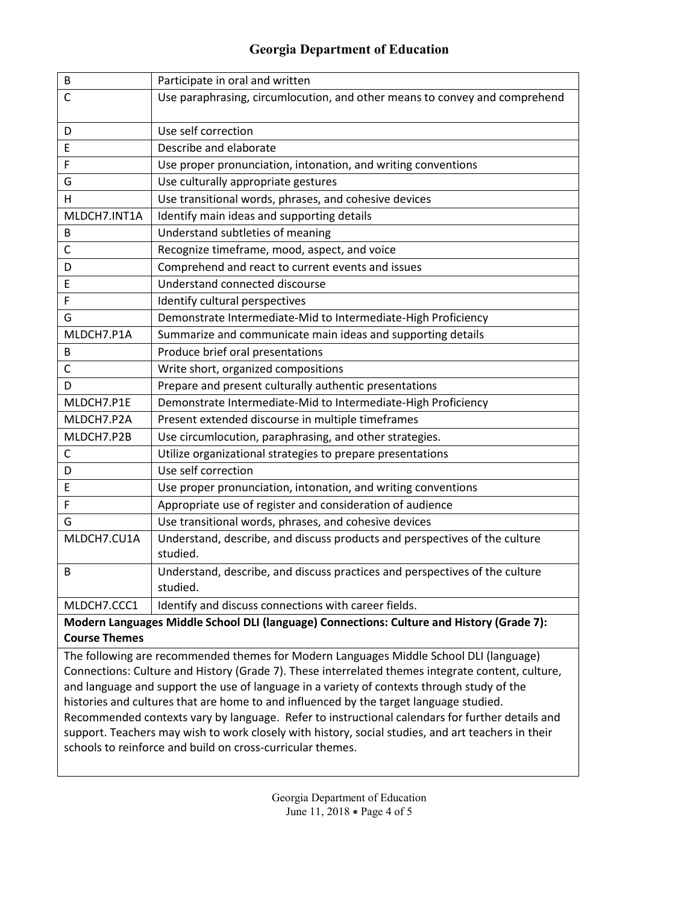| $\sf B$                                                                                   | Participate in oral and written                                             |  |
|-------------------------------------------------------------------------------------------|-----------------------------------------------------------------------------|--|
| C                                                                                         | Use paraphrasing, circumlocution, and other means to convey and comprehend  |  |
|                                                                                           |                                                                             |  |
| D                                                                                         | Use self correction                                                         |  |
| Ε                                                                                         | Describe and elaborate                                                      |  |
| F                                                                                         | Use proper pronunciation, intonation, and writing conventions               |  |
| G                                                                                         | Use culturally appropriate gestures                                         |  |
| н                                                                                         | Use transitional words, phrases, and cohesive devices                       |  |
| MLDCH7.INT1A                                                                              | Identify main ideas and supporting details                                  |  |
| B                                                                                         | Understand subtleties of meaning                                            |  |
| С                                                                                         | Recognize timeframe, mood, aspect, and voice                                |  |
| D                                                                                         | Comprehend and react to current events and issues                           |  |
| Ε                                                                                         | Understand connected discourse                                              |  |
| F                                                                                         | Identify cultural perspectives                                              |  |
| G                                                                                         | Demonstrate Intermediate-Mid to Intermediate-High Proficiency               |  |
| MLDCH7.P1A                                                                                | Summarize and communicate main ideas and supporting details                 |  |
| B                                                                                         | Produce brief oral presentations                                            |  |
| C                                                                                         | Write short, organized compositions                                         |  |
| D                                                                                         | Prepare and present culturally authentic presentations                      |  |
| MLDCH7.P1E                                                                                | Demonstrate Intermediate-Mid to Intermediate-High Proficiency               |  |
| MLDCH7.P2A                                                                                | Present extended discourse in multiple timeframes                           |  |
| MLDCH7.P2B                                                                                | Use circumlocution, paraphrasing, and other strategies.                     |  |
| С                                                                                         | Utilize organizational strategies to prepare presentations                  |  |
| D                                                                                         | Use self correction                                                         |  |
| Ε                                                                                         | Use proper pronunciation, intonation, and writing conventions               |  |
| F                                                                                         | Appropriate use of register and consideration of audience                   |  |
| G                                                                                         | Use transitional words, phrases, and cohesive devices                       |  |
| MLDCH7.CU1A                                                                               | Understand, describe, and discuss products and perspectives of the culture  |  |
|                                                                                           | studied.                                                                    |  |
| B                                                                                         | Understand, describe, and discuss practices and perspectives of the culture |  |
|                                                                                           | studied.                                                                    |  |
| MLDCH7.CCC1                                                                               | Identify and discuss connections with career fields.                        |  |
| Modern Languages Middle School DLI (language) Connections: Culture and History (Grade 7): |                                                                             |  |
| <b>Course Themes</b>                                                                      |                                                                             |  |
| The following are recommended themes for Modern Languages Middle School DLI (language)    |                                                                             |  |

Connections: Culture and History (Grade 7). These interrelated themes integrate content, culture, and language and support the use of language in a variety of contexts through study of the histories and cultures that are home to and influenced by the target language studied. Recommended contexts vary by language. Refer to instructional calendars for further details and support. Teachers may wish to work closely with history, social studies, and art teachers in their schools to reinforce and build on cross-curricular themes.